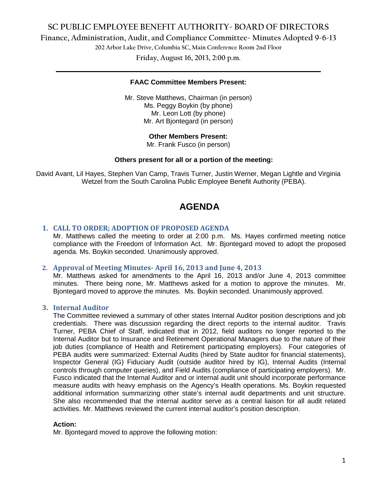# **SC PUBLIC EMPLOYEE BENEFIT AUTHORITY- BOARD OF DIRECTORS**

**Finance, Administration, Audit, and Compliance Committee- Minutes Adopted 9-6-13**

**202 Arbor Lake Drive, Columbia SC, Main Conference Room 2nd Floor**

**Friday, August 16, 2013, 2:00 p.m. \_\_\_\_\_\_\_\_\_\_\_\_\_\_\_\_\_\_\_\_\_\_\_\_\_\_\_\_\_\_\_\_\_\_\_\_\_\_\_\_\_\_\_\_\_\_\_\_\_\_\_\_\_\_\_\_\_\_\_\_\_\_\_\_\_\_\_\_\_\_\_\_**

#### **FAAC Committee Members Present:**

Mr. Steve Matthews, Chairman (in person) Ms. Peggy Boykin (by phone) Mr. Leon Lott (by phone) Mr. Art Bjontegard (in person)

**Other Members Present:**

Mr. Frank Fusco (in person)

# **Others present for all or a portion of the meeting:**

David Avant, Lil Hayes, Stephen Van Camp, Travis Turner, Justin Werner, Megan Lightle and Virginia Wetzel from the South Carolina Public Employee Benefit Authority (PEBA).

# **AGENDA**

# **1. CALL TO ORDER; ADOPTION OF PROPOSED AGENDA**

Mr. Matthews called the meeting to order at 2:00 p.m. Ms. Hayes confirmed meeting notice compliance with the Freedom of Information Act. Mr. Bjontegard moved to adopt the proposed agenda. Ms. Boykin seconded. Unanimously approved.

# **2. Approval of Meeting Minutes- April 16, 2013 and June 4, 2013**

Mr. Matthews asked for amendments to the April 16, 2013 and/or June 4, 2013 committee minutes. There being none, Mr. Matthews asked for a motion to approve the minutes. Mr. Bjontegard moved to approve the minutes. Ms. Boykin seconded. Unanimously approved.

# **3. Internal Auditor**

The Committee reviewed a summary of other states Internal Auditor position descriptions and job credentials. There was discussion regarding the direct reports to the internal auditor. Travis Turner, PEBA Chief of Staff, indicated that in 2012, field auditors no longer reported to the Internal Auditor but to Insurance and Retirement Operational Managers due to the nature of their job duties (compliance of Health and Retirement participating employers). Four categories of PEBA audits were summarized: External Audits (hired by State auditor for financial statements), Inspector General (IG) Fiduciary Audit (outside auditor hired by IG), Internal Audits (Internal controls through computer queries), and Field Audits (compliance of participating employers). Mr. Fusco indicated that the Internal Auditor and or internal audit unit should incorporate performance measure audits with heavy emphasis on the Agency's Health operations. Ms. Boykin requested additional information summarizing other state's internal audit departments and unit structure. She also recommended that the internal auditor serve as a central liaison for all audit related activities. Mr. Matthews reviewed the current internal auditor's position description.

#### **Action:**

Mr. Bjontegard moved to approve the following motion: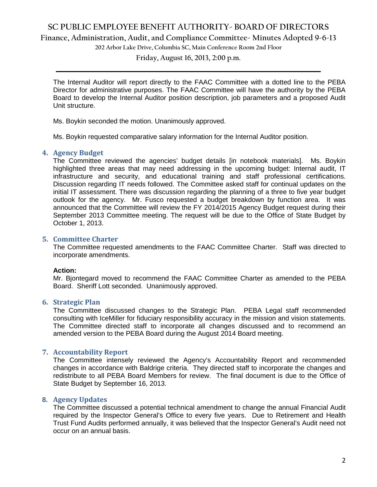# **SC PUBLIC EMPLOYEE BENEFIT AUTHORITY- BOARD OF DIRECTORS**

**Finance, Administration, Audit, and Compliance Committee- Minutes Adopted 9-6-13**

**202 Arbor Lake Drive, Columbia SC, Main Conference Room 2nd Floor**

**Friday, August 16, 2013, 2:00 p.m. \_\_\_\_\_\_\_\_\_\_\_\_\_\_\_\_\_\_\_\_\_\_\_\_\_\_\_\_\_\_\_\_\_\_\_\_\_\_\_\_\_\_\_\_\_\_\_\_\_\_\_\_\_\_\_\_\_\_\_\_\_\_\_\_\_\_\_\_\_\_\_\_**

The Internal Auditor will report directly to the FAAC Committee with a dotted line to the PEBA Director for administrative purposes. The FAAC Committee will have the authority by the PEBA Board to develop the Internal Auditor position description, job parameters and a proposed Audit Unit structure.

Ms. Boykin seconded the motion. Unanimously approved.

Ms. Boykin requested comparative salary information for the Internal Auditor position.

# **4. Agency Budget**

The Committee reviewed the agencies' budget details [in notebook materials]. Ms. Boykin highlighted three areas that may need addressing in the upcoming budget: Internal audit, IT infrastructure and security, and educational training and staff professional certifications. Discussion regarding IT needs followed. The Committee asked staff for continual updates on the initial IT assessment. There was discussion regarding the planning of a three to five year budget outlook for the agency. Mr. Fusco requested a budget breakdown by function area. It was announced that the Committee will review the FY 2014/2015 Agency Budget request during their September 2013 Committee meeting. The request will be due to the Office of State Budget by October 1, 2013.

# **5. Committee Charter**

The Committee requested amendments to the FAAC Committee Charter. Staff was directed to incorporate amendments.

# **Action:**

Mr. Bjontegard moved to recommend the FAAC Committee Charter as amended to the PEBA Board. Sheriff Lott seconded. Unanimously approved.

# **6. Strategic Plan**

The Committee discussed changes to the Strategic Plan. PEBA Legal staff recommended consulting with IceMiller for fiduciary responsibility accuracy in the mission and vision statements. The Committee directed staff to incorporate all changes discussed and to recommend an amended version to the PEBA Board during the August 2014 Board meeting.

# **7. Accountability Report**

The Committee intensely reviewed the Agency's Accountability Report and recommended changes in accordance with Baldrige criteria. They directed staff to incorporate the changes and redistribute to all PEBA Board Members for review. The final document is due to the Office of State Budget by September 16, 2013.

# **8. Agency Updates**

The Committee discussed a potential technical amendment to change the annual Financial Audit required by the Inspector General's Office to every five years. Due to Retirement and Health Trust Fund Audits performed annually, it was believed that the Inspector General's Audit need not occur on an annual basis.